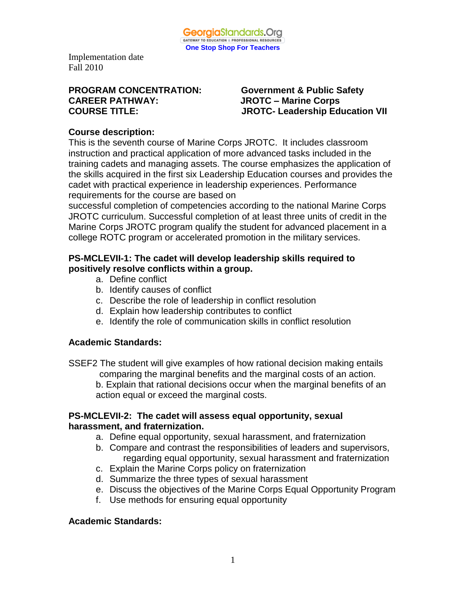

# **PROGRAM CONCENTRATION: Government & Public Safety CAREER PATHWAY: JROTC – Marine Corps**

# **COURSE TITLE: JROTC- Leadership Education VII**

# **Course description:**

This is the seventh course of Marine Corps JROTC. It includes classroom instruction and practical application of more advanced tasks included in the training cadets and managing assets. The course emphasizes the application of the skills acquired in the first six Leadership Education courses and provides the cadet with practical experience in leadership experiences. Performance requirements for the course are based on

successful completion of competencies according to the national Marine Corps JROTC curriculum. Successful completion of at least three units of credit in the Marine Corps JROTC program qualify the student for advanced placement in a college ROTC program or accelerated promotion in the military services.

#### **PS-MCLEVII-1: The cadet will develop leadership skills required to positively resolve conflicts within a group.**

- a. Define conflict
- b. Identify causes of conflict
- c. Describe the role of leadership in conflict resolution
- d. Explain how leadership contributes to conflict
- e. Identify the role of communication skills in conflict resolution

#### **Academic Standards:**

SSEF2 The student will give examples of how rational decision making entails comparing the marginal benefits and the marginal costs of an action. b. Explain that rational decisions occur when the marginal benefits of an action equal or exceed the marginal costs.

#### **PS-MCLEVII-2: The cadet will assess equal opportunity, sexual harassment, and fraternization.**

- a. Define equal opportunity, sexual harassment, and fraternization
- b. Compare and contrast the responsibilities of leaders and supervisors, regarding equal opportunity, sexual harassment and fraternization
- c. Explain the Marine Corps policy on fraternization
- d. Summarize the three types of sexual harassment
- e. Discuss the objectives of the Marine Corps Equal Opportunity Program
- f. Use methods for ensuring equal opportunity

# **Academic Standards:**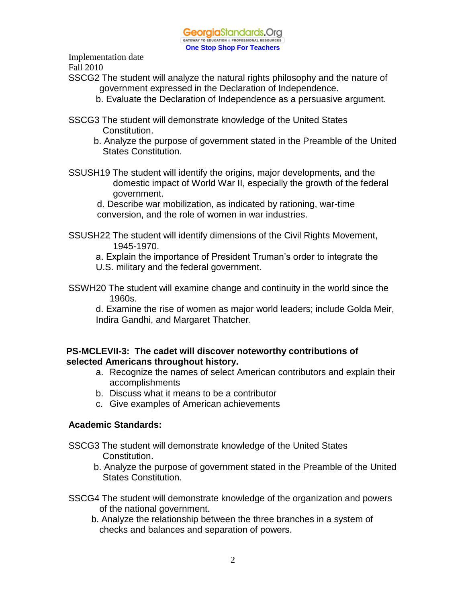

- SSCG2 The student will analyze the natural rights philosophy and the nature of government expressed in the Declaration of Independence.
	- b. Evaluate the Declaration of Independence as a persuasive argument.
- SSCG3 The student will demonstrate knowledge of the United States Constitution.
	- b. Analyze the purpose of government stated in the Preamble of the United States Constitution.
- SSUSH19 The student will identify the origins, major developments, and the domestic impact of World War II, especially the growth of the federal government.

d. Describe war mobilization, as indicated by rationing, war-time conversion, and the role of women in war industries.

- SSUSH22 The student will identify dimensions of the Civil Rights Movement, 1945-1970.
	- a. Explain the importance of President Truman's order to integrate the
	- U.S. military and the federal government.
- SSWH20 The student will examine change and continuity in the world since the 1960s.

d. Examine the rise of women as major world leaders; include Golda Meir, Indira Gandhi, and Margaret Thatcher.

#### **PS-MCLEVII-3: The cadet will discover noteworthy contributions of selected Americans throughout history.**

- a. Recognize the names of select American contributors and explain their accomplishments
- b. Discuss what it means to be a contributor
- c. Give examples of American achievements

#### **Academic Standards:**

- SSCG3 The student will demonstrate knowledge of the United States Constitution.
	- b. Analyze the purpose of government stated in the Preamble of the United States Constitution.
- SSCG4 The student will demonstrate knowledge of the organization and powers of the national government.
	- b. Analyze the relationship between the three branches in a system of checks and balances and separation of powers.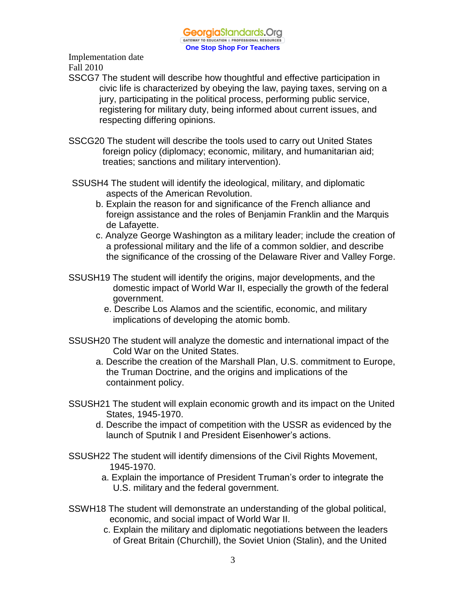- SSCG7 The student will describe how thoughtful and effective participation in civic life is characterized by obeying the law, paying taxes, serving on a jury, participating in the political process, performing public service, registering for military duty, being informed about current issues, and respecting differing opinions.
- SSCG20 The student will describe the tools used to carry out United States foreign policy (diplomacy; economic, military, and humanitarian aid; treaties; sanctions and military intervention).
- SSUSH4 The student will identify the ideological, military, and diplomatic aspects of the American Revolution.
	- b. Explain the reason for and significance of the French alliance and foreign assistance and the roles of Benjamin Franklin and the Marquis de Lafayette.
	- c. Analyze George Washington as a military leader; include the creation of a professional military and the life of a common soldier, and describe the significance of the crossing of the Delaware River and Valley Forge.
- SSUSH19 The student will identify the origins, major developments, and the domestic impact of World War II, especially the growth of the federal government.
	- e. Describe Los Alamos and the scientific, economic, and military implications of developing the atomic bomb.
- SSUSH20 The student will analyze the domestic and international impact of the Cold War on the United States.
	- a. Describe the creation of the Marshall Plan, U.S. commitment to Europe, the Truman Doctrine, and the origins and implications of the containment policy.
- SSUSH21 The student will explain economic growth and its impact on the United States, 1945-1970.
	- d. Describe the impact of competition with the USSR as evidenced by the launch of Sputnik I and President Eisenhower's actions.
- SSUSH22 The student will identify dimensions of the Civil Rights Movement, 1945-1970.
	- a. Explain the importance of President Truman's order to integrate the U.S. military and the federal government.
- SSWH18 The student will demonstrate an understanding of the global political, economic, and social impact of World War II.
	- c. Explain the military and diplomatic negotiations between the leaders of Great Britain (Churchill), the Soviet Union (Stalin), and the United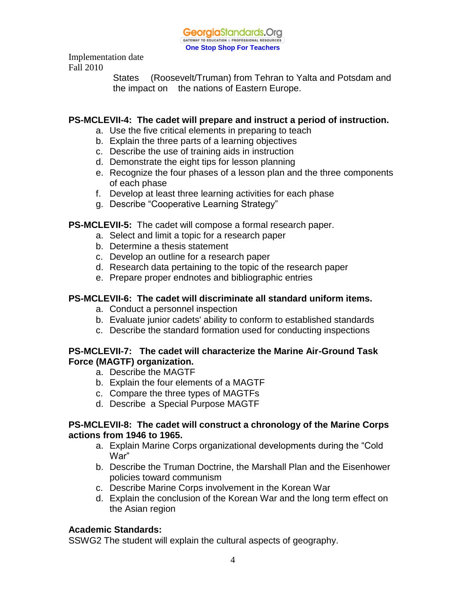

> States (Roosevelt/Truman) from Tehran to Yalta and Potsdam and the impact on the nations of Eastern Europe.

### **PS-MCLEVII-4: The cadet will prepare and instruct a period of instruction.**

- a. Use the five critical elements in preparing to teach
- b. Explain the three parts of a learning objectives
- c. Describe the use of training aids in instruction
- d. Demonstrate the eight tips for lesson planning
- e. Recognize the four phases of a lesson plan and the three components of each phase
- f. Develop at least three learning activities for each phase
- g. Describe "Cooperative Learning Strategy"

**PS-MCLEVII-5:** The cadet will compose a formal research paper.

- a. Select and limit a topic for a research paper
- b. Determine a thesis statement
- c. Develop an outline for a research paper
- d. Research data pertaining to the topic of the research paper
- e. Prepare proper endnotes and bibliographic entries

# **PS-MCLEVII-6: The cadet will discriminate all standard uniform items.**

- a. Conduct a personnel inspection
- b. Evaluate junior cadets' ability to conform to established standards
- c. Describe the standard formation used for conducting inspections

### **PS-MCLEVII-7: The cadet will characterize the Marine Air-Ground Task Force (MAGTF) organization.**

- a. Describe the MAGTF
- b. Explain the four elements of a MAGTF
- c. Compare the three types of MAGTFs
- d. Describe a Special Purpose MAGTF

#### **PS-MCLEVII-8: The cadet will construct a chronology of the Marine Corps actions from 1946 to 1965.**

- a. Explain Marine Corps organizational developments during the "Cold War"
- b. Describe the Truman Doctrine, the Marshall Plan and the Eisenhower policies toward communism
- c. Describe Marine Corps involvement in the Korean War
- d. Explain the conclusion of the Korean War and the long term effect on the Asian region

# **Academic Standards:**

SSWG2 The student will explain the cultural aspects of geography.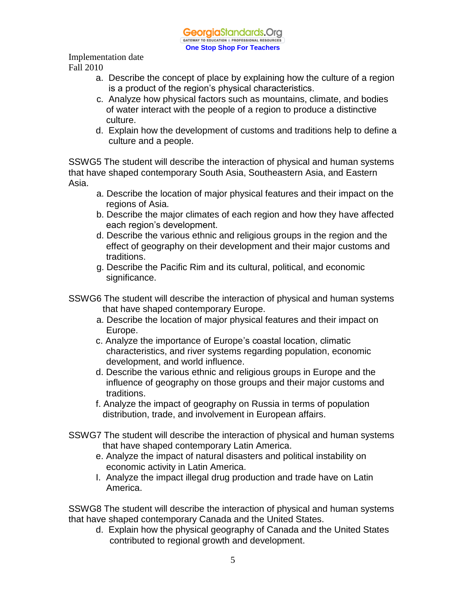GeorgiaStandards.Org GATEWAY TO EDUCATION & PROFESSIONAL RESOURCE **One Stop Shop For Teachers**

Implementation date Fall 2010

- a. Describe the concept of place by explaining how the culture of a region is a product of the region's physical characteristics.
- c. Analyze how physical factors such as mountains, climate, and bodies of water interact with the people of a region to produce a distinctive culture.
- d. Explain how the development of customs and traditions help to define a culture and a people.

SSWG5 The student will describe the interaction of physical and human systems that have shaped contemporary South Asia, Southeastern Asia, and Eastern Asia.

- a. Describe the location of major physical features and their impact on the regions of Asia.
- b. Describe the major climates of each region and how they have affected each region's development.
- d. Describe the various ethnic and religious groups in the region and the effect of geography on their development and their major customs and traditions.
- g. Describe the Pacific Rim and its cultural, political, and economic significance.
- SSWG6 The student will describe the interaction of physical and human systems that have shaped contemporary Europe.
	- a. Describe the location of major physical features and their impact on Europe.
	- c. Analyze the importance of Europe's coastal location, climatic characteristics, and river systems regarding population, economic development, and world influence.
	- d. Describe the various ethnic and religious groups in Europe and the influence of geography on those groups and their major customs and traditions.
	- f. Analyze the impact of geography on Russia in terms of population distribution, trade, and involvement in European affairs.
- SSWG7 The student will describe the interaction of physical and human systems that have shaped contemporary Latin America.
	- e. Analyze the impact of natural disasters and political instability on economic activity in Latin America.
	- I. Analyze the impact illegal drug production and trade have on Latin America.

SSWG8 The student will describe the interaction of physical and human systems that have shaped contemporary Canada and the United States.

d. Explain how the physical geography of Canada and the United States contributed to regional growth and development.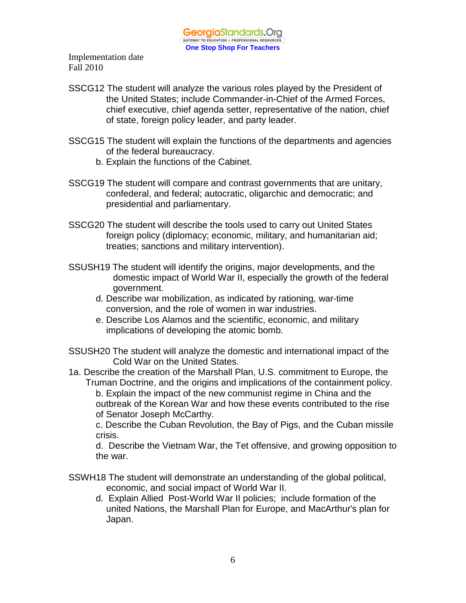- SSCG12 The student will analyze the various roles played by the President of the United States; include Commander-in-Chief of the Armed Forces, chief executive, chief agenda setter, representative of the nation, chief of state, foreign policy leader, and party leader.
- SSCG15 The student will explain the functions of the departments and agencies of the federal bureaucracy.
	- b. Explain the functions of the Cabinet.
- SSCG19 The student will compare and contrast governments that are unitary, confederal, and federal; autocratic, oligarchic and democratic; and presidential and parliamentary.
- SSCG20 The student will describe the tools used to carry out United States foreign policy (diplomacy; economic, military, and humanitarian aid; treaties; sanctions and military intervention).
- SSUSH19 The student will identify the origins, major developments, and the domestic impact of World War II, especially the growth of the federal government.
	- d. Describe war mobilization, as indicated by rationing, war-time conversion, and the role of women in war industries.
	- e. Describe Los Alamos and the scientific, economic, and military implications of developing the atomic bomb.

SSUSH20 The student will analyze the domestic and international impact of the Cold War on the United States.

1a. Describe the creation of the Marshall Plan, U.S. commitment to Europe, the Truman Doctrine, and the origins and implications of the containment policy.

b. Explain the impact of the new communist regime in China and the outbreak of the Korean War and how these events contributed to the rise of Senator Joseph McCarthy.

c. Describe the Cuban Revolution, the Bay of Pigs, and the Cuban missile crisis.

d. Describe the Vietnam War, the Tet offensive, and growing opposition to the war.

- SSWH18 The student will demonstrate an understanding of the global political, economic, and social impact of World War II.
	- d. Explain Allied Post-World War II policies; include formation of the united Nations, the Marshall Plan for Europe, and MacArthur's plan for Japan.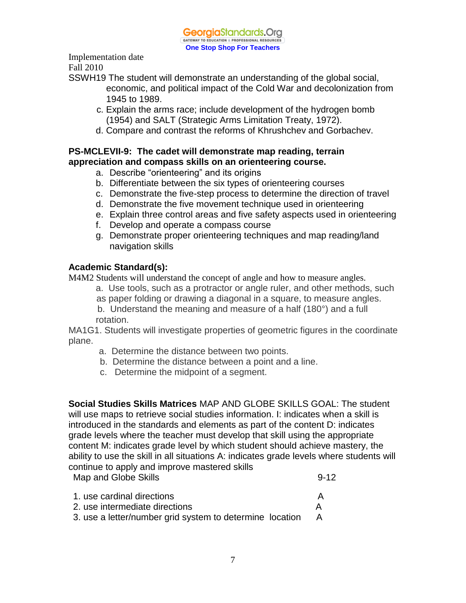

Implementation date

Fall 2010

- SSWH19 The student will demonstrate an understanding of the global social, economic, and political impact of the Cold War and decolonization from 1945 to 1989.
	- c. Explain the arms race; include development of the hydrogen bomb (1954) and SALT (Strategic Arms Limitation Treaty, 1972).
	- d. Compare and contrast the reforms of Khrushchev and Gorbachev.

# **PS-MCLEVII-9: The cadet will demonstrate map reading, terrain appreciation and compass skills on an orienteering course.**

- a. Describe "orienteering" and its origins
- b. Differentiate between the six types of orienteering courses
- c. Demonstrate the five-step process to determine the direction of travel
- d. Demonstrate the five movement technique used in orienteering
- e. Explain three control areas and five safety aspects used in orienteering
- f. Develop and operate a compass course
- g. Demonstrate proper orienteering techniques and map reading/land navigation skills

# **Academic Standard(s):**

M4M2 Students will understand the concept of angle and how to measure angles.

- a. Use tools, such as a protractor or angle ruler, and other methods, such
- as paper folding or drawing a diagonal in a square, to measure angles.

 b. Understand the meaning and measure of a half (180°) and a full rotation.

MA1G1. Students will investigate properties of geometric figures in the coordinate plane.

- a. Determine the distance between two points.
- b. Determine the distance between a point and a line.
- c. Determine the midpoint of a segment.

**Social Studies Skills Matrices** MAP AND GLOBE SKILLS GOAL: The student will use maps to retrieve social studies information. I: indicates when a skill is introduced in the standards and elements as part of the content D: indicates grade levels where the teacher must develop that skill using the appropriate content M: indicates grade level by which student should achieve mastery, the ability to use the skill in all situations A: indicates grade levels where students will continue to apply and improve mastered skills

Map and Globe Skills 9-12

| 1. use cardinal directions                               |  |
|----------------------------------------------------------|--|
| 2. use intermediate directions                           |  |
| 3. use a letter/number grid system to determine location |  |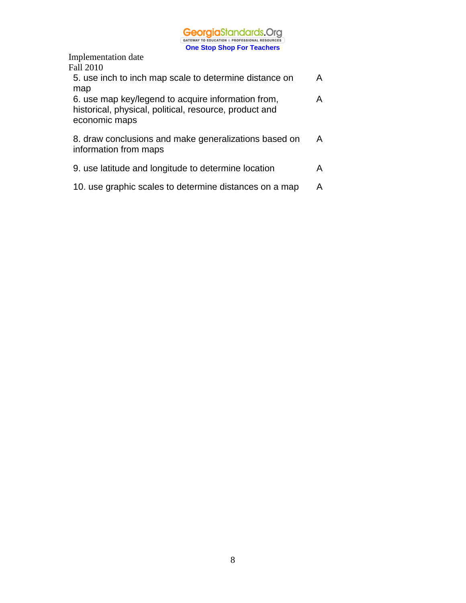# **GeorgiaStandards.Org**<br> **One Stop Shop For Teachers**<br> **One Stop Shop For Teachers**

| $5.00$ and $5.00$ and $5.00$ and $5.00$                |   |
|--------------------------------------------------------|---|
| Implementation date                                    |   |
| <b>Fall 2010</b>                                       |   |
| 5. use inch to inch map scale to determine distance on | A |
| map                                                    |   |
| 6. use map key/legend to acquire information from,     | A |
| historical, physical, political, resource, product and |   |
| economic maps                                          |   |
| 8. draw conclusions and make generalizations based on  | A |
| information from maps                                  |   |
|                                                        |   |
| 9. use latitude and longitude to determine location    | A |
|                                                        |   |
| 10. use graphic scales to determine distances on a map | А |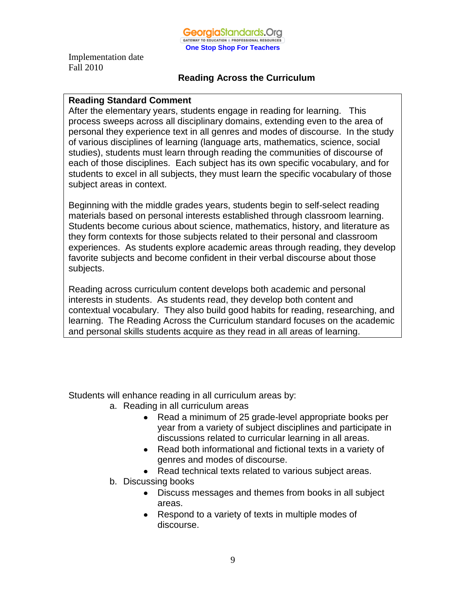

#### **Reading Across the Curriculum**

#### **Reading Standard Comment**

After the elementary years, students engage in reading for learning. This process sweeps across all disciplinary domains, extending even to the area of personal they experience text in all genres and modes of discourse. In the study of various disciplines of learning (language arts, mathematics, science, social studies), students must learn through reading the communities of discourse of each of those disciplines. Each subject has its own specific vocabulary, and for students to excel in all subjects, they must learn the specific vocabulary of those subject areas in context.

Beginning with the middle grades years, students begin to self-select reading materials based on personal interests established through classroom learning. Students become curious about science, mathematics, history, and literature as they form contexts for those subjects related to their personal and classroom experiences. As students explore academic areas through reading, they develop favorite subjects and become confident in their verbal discourse about those subjects.

Reading across curriculum content develops both academic and personal interests in students. As students read, they develop both content and contextual vocabulary. They also build good habits for reading, researching, and learning. The Reading Across the Curriculum standard focuses on the academic and personal skills students acquire as they read in all areas of learning.

Students will enhance reading in all curriculum areas by:

- a. Reading in all curriculum areas
	- Read a minimum of 25 grade-level appropriate books per year from a variety of subject disciplines and participate in discussions related to curricular learning in all areas.
	- Read both informational and fictional texts in a variety of genres and modes of discourse.
	- Read technical texts related to various subject areas.
- b. Discussing books
	- Discuss messages and themes from books in all subject areas.
	- Respond to a variety of texts in multiple modes of discourse.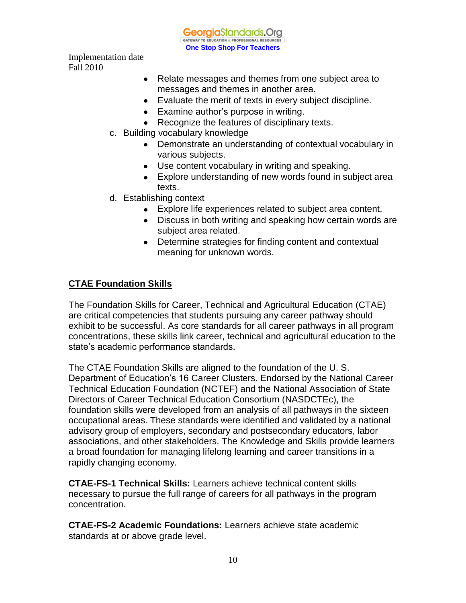**Georgia**Standards.Org GATEWAY TO EDUCATION & PROFESSIONAL RESOURCE **One Stop Shop For Teachers**

Implementation date Fall 2010

- Relate messages and themes from one subject area to messages and themes in another area.
- Evaluate the merit of texts in every subject discipline.
- Examine author's purpose in writing.
- Recognize the features of disciplinary texts.
- c. Building vocabulary knowledge
	- Demonstrate an understanding of contextual vocabulary in various subjects.
	- Use content vocabulary in writing and speaking.
	- Explore understanding of new words found in subject area texts.
- d. Establishing context
	- Explore life experiences related to subject area content.
	- Discuss in both writing and speaking how certain words are subject area related.
	- Determine strategies for finding content and contextual meaning for unknown words.

# **CTAE Foundation Skills**

The Foundation Skills for Career, Technical and Agricultural Education (CTAE) are critical competencies that students pursuing any career pathway should exhibit to be successful. As core standards for all career pathways in all program concentrations, these skills link career, technical and agricultural education to the state's academic performance standards.

The CTAE Foundation Skills are aligned to the foundation of the U. S. Department of Education's 16 Career Clusters. Endorsed by the National Career Technical Education Foundation (NCTEF) and the National Association of State Directors of Career Technical Education Consortium (NASDCTEc), the foundation skills were developed from an analysis of all pathways in the sixteen occupational areas. These standards were identified and validated by a national advisory group of employers, secondary and postsecondary educators, labor associations, and other stakeholders. The Knowledge and Skills provide learners a broad foundation for managing lifelong learning and career transitions in a rapidly changing economy.

**CTAE-FS-1 Technical Skills:** Learners achieve technical content skills necessary to pursue the full range of careers for all pathways in the program concentration.

**CTAE-FS-2 Academic Foundations:** Learners achieve state academic standards at or above grade level.